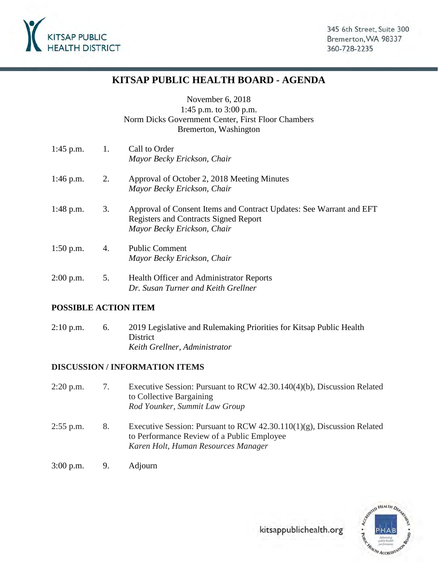

# **KITSAP PUBLIC HEALTH BOARD - AGENDA**

November 6, 2018 1:45 p.m. to 3:00 p.m. Norm Dicks Government Center, First Floor Chambers Bremerton, Washington

| $1:45$ p.m. | 1. | Call to Order<br>Mayor Becky Erickson, Chair                                                                                                       |
|-------------|----|----------------------------------------------------------------------------------------------------------------------------------------------------|
| $1:46$ p.m. | 2. | Approval of October 2, 2018 Meeting Minutes<br>Mayor Becky Erickson, Chair                                                                         |
| $1:48$ p.m. | 3. | Approval of Consent Items and Contract Updates: See Warrant and EFT<br><b>Registers and Contracts Signed Report</b><br>Mayor Becky Erickson, Chair |
| $1:50$ p.m. | 4. | <b>Public Comment</b><br>Mayor Becky Erickson, Chair                                                                                               |
| $2:00$ p.m. | 5. | <b>Health Officer and Administrator Reports</b><br>Dr. Susan Turner and Keith Grellner                                                             |

### **POSSIBLE ACTION ITEM**

2:10 p.m. 6. 2019 Legislative and Rulemaking Priorities for Kitsap Public Health **District** *Keith Grellner, Administrator* 

#### **DISCUSSION / INFORMATION ITEMS**

- 2:20 p.m. 7. Executive Session: Pursuant to RCW 42.30.140(4)(b), Discussion Related to Collective Bargaining *Rod Younker, Summit Law Group*
- 2:55 p.m. 8. Executive Session: Pursuant to RCW 42.30.110(1)(g), Discussion Related to Performance Review of a Public Employee *Karen Holt, Human Resources Manager*
- 3:00 p.m. 9. Adjourn

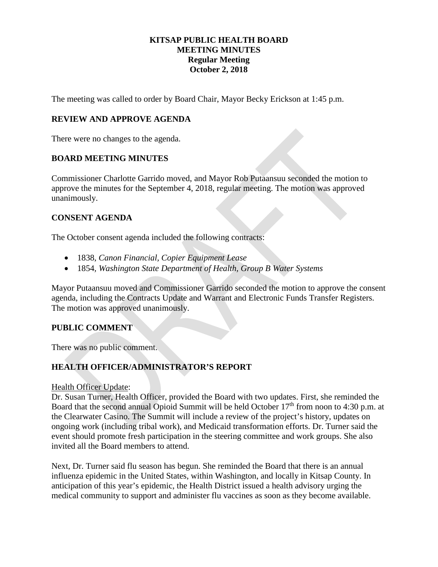#### **KITSAP PUBLIC HEALTH BOARD MEETING MINUTES Regular Meeting October 2, 2018**

The meeting was called to order by Board Chair, Mayor Becky Erickson at 1:45 p.m.

### **REVIEW AND APPROVE AGENDA**

There were no changes to the agenda.

#### **BOARD MEETING MINUTES**

Commissioner Charlotte Garrido moved, and Mayor Rob Putaansuu seconded the motion to approve the minutes for the September 4, 2018, regular meeting. The motion was approved unanimously.

#### **CONSENT AGENDA**

The October consent agenda included the following contracts:

- 1838, *Canon Financial, Copier Equipment Lease*
- 1854*, Washington State Department of Health, Group B Water Systems*

Mayor Putaansuu moved and Commissioner Garrido seconded the motion to approve the consent agenda, including the Contracts Update and Warrant and Electronic Funds Transfer Registers. The motion was approved unanimously.

### **PUBLIC COMMENT**

There was no public comment.

### **HEALTH OFFICER/ADMINISTRATOR'S REPORT**

#### Health Officer Update:

Dr. Susan Turner, Health Officer, provided the Board with two updates. First, she reminded the Board that the second annual Opioid Summit will be held October 17<sup>th</sup> from noon to 4:30 p.m. at the Clearwater Casino. The Summit will include a review of the project's history, updates on ongoing work (including tribal work), and Medicaid transformation efforts. Dr. Turner said the event should promote fresh participation in the steering committee and work groups. She also invited all the Board members to attend.

Next, Dr. Turner said flu season has begun. She reminded the Board that there is an annual influenza epidemic in the United States, within Washington, and locally in Kitsap County. In anticipation of this year's epidemic, the Health District issued a health advisory urging the medical community to support and administer flu vaccines as soon as they become available.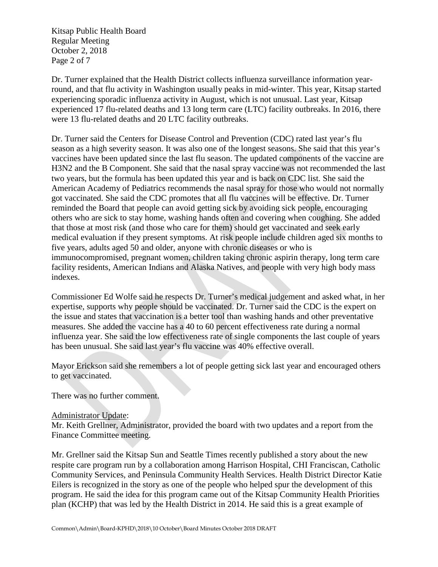Kitsap Public Health Board Regular Meeting October 2, 2018 Page 2 of 7

Dr. Turner explained that the Health District collects influenza surveillance information yearround, and that flu activity in Washington usually peaks in mid-winter. This year, Kitsap started experiencing sporadic influenza activity in August, which is not unusual. Last year, Kitsap experienced 17 flu-related deaths and 13 long term care (LTC) facility outbreaks. In 2016, there were 13 flu-related deaths and 20 LTC facility outbreaks.

Dr. Turner said the Centers for Disease Control and Prevention (CDC) rated last year's flu season as a high severity season. It was also one of the longest seasons. She said that this year's vaccines have been updated since the last flu season. The updated components of the vaccine are H3N2 and the B Component. She said that the nasal spray vaccine was not recommended the last two years, but the formula has been updated this year and is back on CDC list. She said the American Academy of Pediatrics recommends the nasal spray for those who would not normally got vaccinated. She said the CDC promotes that all flu vaccines will be effective. Dr. Turner reminded the Board that people can avoid getting sick by avoiding sick people, encouraging others who are sick to stay home, washing hands often and covering when coughing. She added that those at most risk (and those who care for them) should get vaccinated and seek early medical evaluation if they present symptoms. At risk people include children aged six months to five years, adults aged 50 and older, anyone with chronic diseases or who is immunocompromised, pregnant women, children taking chronic aspirin therapy, long term care facility residents, American Indians and Alaska Natives, and people with very high body mass indexes.

Commissioner Ed Wolfe said he respects Dr. Turner's medical judgement and asked what, in her expertise, supports why people should be vaccinated. Dr. Turner said the CDC is the expert on the issue and states that vaccination is a better tool than washing hands and other preventative measures. She added the vaccine has a 40 to 60 percent effectiveness rate during a normal influenza year. She said the low effectiveness rate of single components the last couple of years has been unusual. She said last year's flu vaccine was 40% effective overall.

Mayor Erickson said she remembers a lot of people getting sick last year and encouraged others to get vaccinated.

There was no further comment.

#### Administrator Update:

Mr. Keith Grellner, Administrator, provided the board with two updates and a report from the Finance Committee meeting.

Mr. Grellner said the Kitsap Sun and Seattle Times recently published a story about the new respite care program run by a collaboration among Harrison Hospital, CHI Franciscan, Catholic Community Services, and Peninsula Community Health Services. Health District Director Katie Eilers is recognized in the story as one of the people who helped spur the development of this program. He said the idea for this program came out of the Kitsap Community Health Priorities plan (KCHP) that was led by the Health District in 2014. He said this is a great example of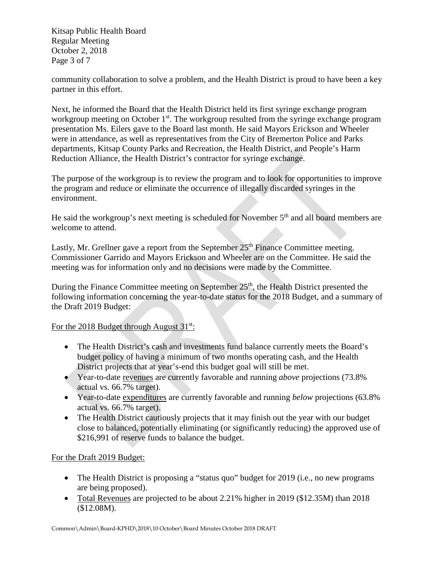Kitsap Public Health Board Regular Meeting October 2, 2018 Page 3 of 7

community collaboration to solve a problem, and the Health District is proud to have been a key partner in this effort.

Next, he informed the Board that the Health District held its first syringe exchange program workgroup meeting on October  $1<sup>st</sup>$ . The workgroup resulted from the syringe exchange program presentation Ms. Eilers gave to the Board last month. He said Mayors Erickson and Wheeler were in attendance, as well as representatives from the City of Bremerton Police and Parks departments, Kitsap County Parks and Recreation, the Health District, and People's Harm Reduction Alliance, the Health District's contractor for syringe exchange.

The purpose of the workgroup is to review the program and to look for opportunities to improve the program and reduce or eliminate the occurrence of illegally discarded syringes in the environment.

He said the workgroup's next meeting is scheduled for November 5<sup>th</sup> and all board members are welcome to attend.

Lastly, Mr. Grellner gave a report from the September  $25<sup>th</sup>$  Finance Committee meeting. Commissioner Garrido and Mayors Erickson and Wheeler are on the Committee. He said the meeting was for information only and no decisions were made by the Committee.

During the Finance Committee meeting on September 25<sup>th</sup>, the Health District presented the following information concerning the year-to-date status for the 2018 Budget, and a summary of the Draft 2019 Budget:

For the 2018 Budget through August  $31^{st}$ :

- The Health District's cash and investments fund balance currently meets the Board's budget policy of having a minimum of two months operating cash, and the Health District projects that at year's-end this budget goal will still be met.
- Year-to-date revenues are currently favorable and running *above* projections (73.8% actual vs. 66.7% target).
- Year-to-date expenditures are currently favorable and running *below* projections (63.8% actual vs. 66.7% target).
- The Health District cautiously projects that it may finish out the year with our budget close to balanced, potentially eliminating (or significantly reducing) the approved use of \$216,991 of reserve funds to balance the budget.

# For the Draft 2019 Budget:

- The Health District is proposing a "status quo" budget for 2019 (i.e., no new programs are being proposed).
- Total Revenues are projected to be about 2.21% higher in 2019 (\$12.35M) than 2018 (\$12.08M).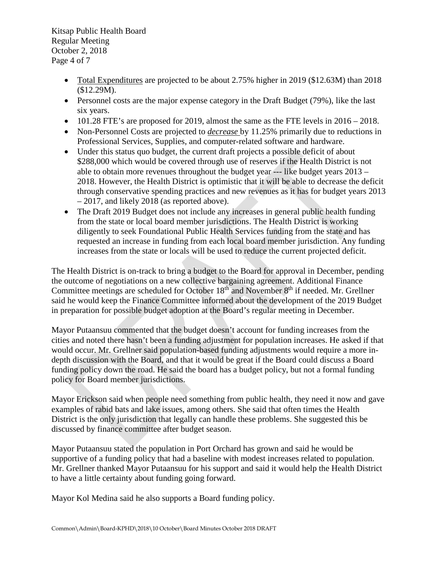Kitsap Public Health Board Regular Meeting October 2, 2018 Page 4 of 7

- Total Expenditures are projected to be about 2.75% higher in 2019 (\$12.63M) than 2018 (\$12.29M).
- Personnel costs are the major expense category in the Draft Budget (79%), like the last six years.
- 101.28 FTE's are proposed for 2019, almost the same as the FTE levels in  $2016 2018$ .
- Non-Personnel Costs are projected to *decrease* by 11.25% primarily due to reductions in Professional Services, Supplies, and computer-related software and hardware.
- Under this status quo budget, the current draft projects a possible deficit of about \$288,000 which would be covered through use of reserves if the Health District is not able to obtain more revenues throughout the budget year --- like budget years 2013 – 2018. However, the Health District is optimistic that it will be able to decrease the deficit through conservative spending practices and new revenues as it has for budget years 2013 – 2017, and likely 2018 (as reported above).
- The Draft 2019 Budget does not include any increases in general public health funding from the state or local board member jurisdictions. The Health District is working diligently to seek Foundational Public Health Services funding from the state and has requested an increase in funding from each local board member jurisdiction. Any funding increases from the state or locals will be used to reduce the current projected deficit.

The Health District is on-track to bring a budget to the Board for approval in December, pending the outcome of negotiations on a new collective bargaining agreement. Additional Finance Committee meetings are scheduled for October 18<sup>th</sup> and November 8<sup>th</sup> if needed. Mr. Grellner said he would keep the Finance Committee informed about the development of the 2019 Budget in preparation for possible budget adoption at the Board's regular meeting in December.

Mayor Putaansuu commented that the budget doesn't account for funding increases from the cities and noted there hasn't been a funding adjustment for population increases. He asked if that would occur. Mr. Grellner said population-based funding adjustments would require a more indepth discussion with the Board, and that it would be great if the Board could discuss a Board funding policy down the road. He said the board has a budget policy, but not a formal funding policy for Board member jurisdictions.

Mayor Erickson said when people need something from public health, they need it now and gave examples of rabid bats and lake issues, among others. She said that often times the Health District is the only jurisdiction that legally can handle these problems. She suggested this be discussed by finance committee after budget season.

Mayor Putaansuu stated the population in Port Orchard has grown and said he would be supportive of a funding policy that had a baseline with modest increases related to population. Mr. Grellner thanked Mayor Putaansuu for his support and said it would help the Health District to have a little certainty about funding going forward.

Mayor Kol Medina said he also supports a Board funding policy.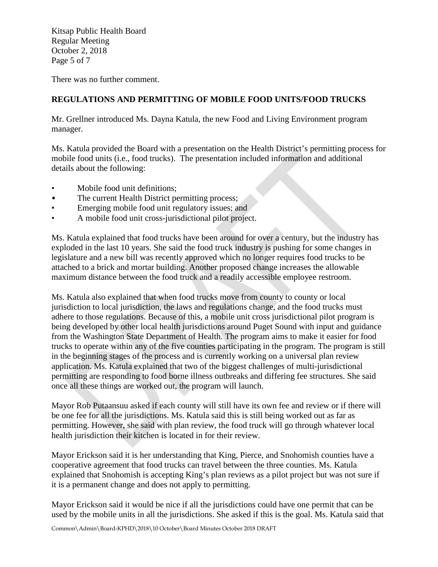Kitsap Public Health Board Regular Meeting October 2, 2018 Page 5 of 7

There was no further comment.

# **REGULATIONS AND PERMITTING OF MOBILE FOOD UNITS/FOOD TRUCKS**

Mr. Grellner introduced Ms. Dayna Katula, the new Food and Living Environment program manager.

Ms. Katula provided the Board with a presentation on the Health District's permitting process for mobile food units (i.e., food trucks). The presentation included information and additional details about the following:

- Mobile food unit definitions;
- The current Health District permitting process;
- Emerging mobile food unit regulatory issues; and
- A mobile food unit cross-jurisdictional pilot project.

Ms. Katula explained that food trucks have been around for over a century, but the industry has exploded in the last 10 years. She said the food truck industry is pushing for some changes in legislature and a new bill was recently approved which no longer requires food trucks to be attached to a brick and mortar building. Another proposed change increases the allowable maximum distance between the food truck and a readily accessible employee restroom.

Ms. Katula also explained that when food trucks move from county to county or local jurisdiction to local jurisdiction, the laws and regulations change, and the food trucks must adhere to those regulations. Because of this, a mobile unit cross jurisdictional pilot program is being developed by other local health jurisdictions around Puget Sound with input and guidance from the Washington State Department of Health. The program aims to make it easier for food trucks to operate within any of the five counties participating in the program. The program is still in the beginning stages of the process and is currently working on a universal plan review application. Ms. Katula explained that two of the biggest challenges of multi-jurisdictional permitting are responding to food borne illness outbreaks and differing fee structures. She said once all these things are worked out, the program will launch.

Mayor Rob Putaansuu asked if each county will still have its own fee and review or if there will be one fee for all the jurisdictions. Ms. Katula said this is still being worked out as far as permitting. However, she said with plan review, the food truck will go through whatever local health jurisdiction their kitchen is located in for their review.

Mayor Erickson said it is her understanding that King, Pierce, and Snohomish counties have a cooperative agreement that food trucks can travel between the three counties. Ms. Katula explained that Snohomish is accepting King's plan reviews as a pilot project but was not sure if it is a permanent change and does not apply to permitting.

Mayor Erickson said it would be nice if all the jurisdictions could have one permit that can be used by the mobile units in all the jurisdictions. She asked if this is the goal. Ms. Katula said that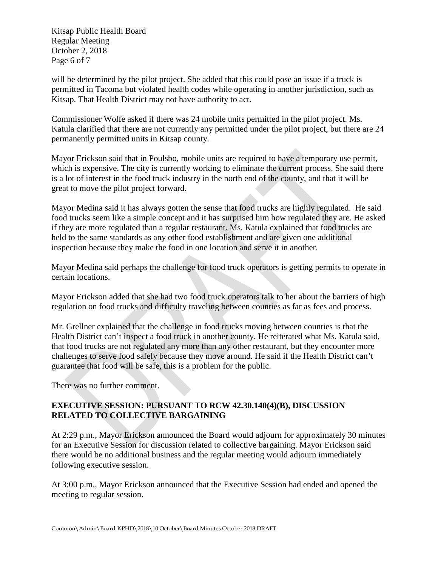Kitsap Public Health Board Regular Meeting October 2, 2018 Page 6 of 7

will be determined by the pilot project. She added that this could pose an issue if a truck is permitted in Tacoma but violated health codes while operating in another jurisdiction, such as Kitsap. That Health District may not have authority to act.

Commissioner Wolfe asked if there was 24 mobile units permitted in the pilot project. Ms. Katula clarified that there are not currently any permitted under the pilot project, but there are 24 permanently permitted units in Kitsap county.

Mayor Erickson said that in Poulsbo, mobile units are required to have a temporary use permit, which is expensive. The city is currently working to eliminate the current process. She said there is a lot of interest in the food truck industry in the north end of the county, and that it will be great to move the pilot project forward.

Mayor Medina said it has always gotten the sense that food trucks are highly regulated. He said food trucks seem like a simple concept and it has surprised him how regulated they are. He asked if they are more regulated than a regular restaurant. Ms. Katula explained that food trucks are held to the same standards as any other food establishment and are given one additional inspection because they make the food in one location and serve it in another.

Mayor Medina said perhaps the challenge for food truck operators is getting permits to operate in certain locations.

Mayor Erickson added that she had two food truck operators talk to her about the barriers of high regulation on food trucks and difficulty traveling between counties as far as fees and process.

Mr. Grellner explained that the challenge in food trucks moving between counties is that the Health District can't inspect a food truck in another county. He reiterated what Ms. Katula said, that food trucks are not regulated any more than any other restaurant, but they encounter more challenges to serve food safely because they move around. He said if the Health District can't guarantee that food will be safe, this is a problem for the public.

There was no further comment.

# **EXECUTIVE SESSION: PURSUANT TO RCW 42.30.140(4)(B), DISCUSSION RELATED TO COLLECTIVE BARGAINING**

At 2:29 p.m., Mayor Erickson announced the Board would adjourn for approximately 30 minutes for an Executive Session for discussion related to collective bargaining. Mayor Erickson said there would be no additional business and the regular meeting would adjourn immediately following executive session.

At 3:00 p.m., Mayor Erickson announced that the Executive Session had ended and opened the meeting to regular session.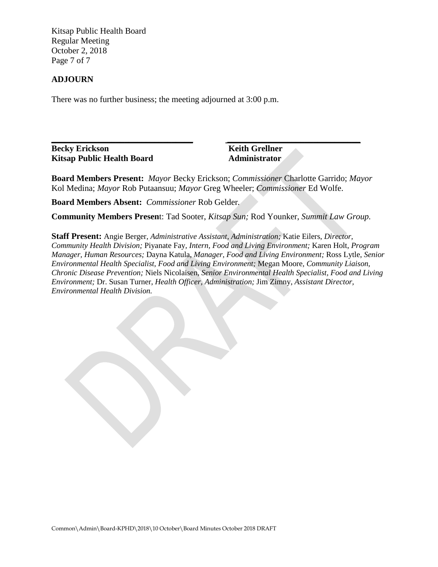Kitsap Public Health Board Regular Meeting October 2, 2018 Page 7 of 7

#### **ADJOURN**

There was no further business; the meeting adjourned at 3:00 p.m.

**\_\_\_\_\_\_\_\_\_\_\_\_\_\_\_\_\_\_\_\_\_\_\_\_\_\_\_\_\_\_\_\_\_ \_\_\_\_\_\_\_\_\_\_\_\_\_\_\_\_\_\_\_\_\_\_\_\_\_\_\_\_\_\_\_ Becky Erickson Keith Grellner Kitsap Public Health Board Administrator** 

**Board Members Present:** *Mayor* Becky Erickson; *Commissioner* Charlotte Garrido; *Mayor* Kol Medina; *Mayor* Rob Putaansuu; *Mayor* Greg Wheeler; *Commissioner* Ed Wolfe.

**Board Members Absent:** *Commissioner* Rob Gelder*.*

**Community Members Presen**t: Tad Sooter, *Kitsap Sun;* Rod Younker, *Summit Law Group.*

**Staff Present:** Angie Berger, *Administrative Assistant, Administration;* Katie Eilers, *Director, Community Health Division;* Piyanate Fay*, Intern, Food and Living Environment;* Karen Holt, *Program Manager, Human Resources;* Dayna Katula, *Manager, Food and Living Environment;* Ross Lytle, *Senior Environmental Health Specialist, Food and Living Environment;* Megan Moore*, Community Liaison, Chronic Disease Prevention;* Niels Nicolaisen, *Senior Environmental Health Specialist, Food and Living Environment;* Dr. Susan Turner, *Health Officer, Administration;* Jim Zimny, *Assistant Director, Environmental Health Division.*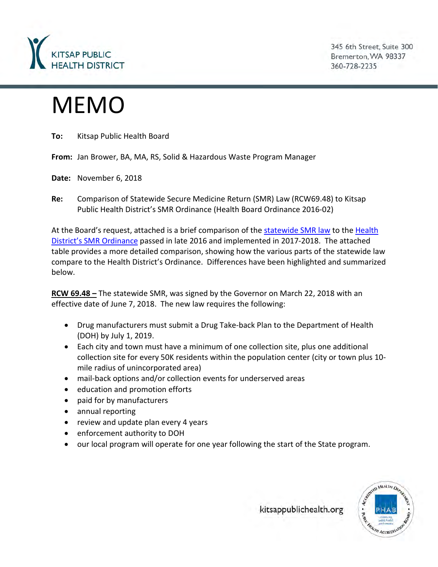

345 6th Street, Suite 300 Bremerton, WA 98337 360-728-2235

# MEMO

**To:** Kitsap Public Health Board

**From:** Jan Brower, BA, MA, RS, Solid & Hazardous Waste Program Manager

**Date:** November 6, 2018

**Re:** Comparison of Statewide Secure Medicine Return (SMR) Law (RCW69.48) to Kitsap Public Health District's SMR Ordinance (Health Board Ordinance 2016-02)

At the Board's request, attached is a brief comparison of the [statewide SMR law](http://app.leg.wa.gov/RCW/default.aspx?cite=69.48) to the [Health](http://www.kitsappublichealth.org/information/files/Ordinance%202016-02%20Secure%20Medicine%20Return.pdf)  [District's SMR](http://www.kitsappublichealth.org/information/files/Ordinance%202016-02%20Secure%20Medicine%20Return.pdf) Ordinance passed in late 2016 and implemented in 2017-2018. The attached table provides a more detailed comparison, showing how the various parts of the statewide law compare to the Health District's Ordinance. Differences have been highlighted and summarized below.

**RCW 69.48 –** The statewide SMR, was signed by the Governor on March 22, 2018 with an effective date of June 7, 2018. The new law requires the following:

- Drug manufacturers must submit a Drug Take-back Plan to the Department of Health (DOH) by July 1, 2019.
- Each city and town must have a minimum of one collection site, plus one additional collection site for every 50K residents within the population center (city or town plus 10 mile radius of unincorporated area)
- mail-back options and/or collection events for underserved areas
- education and promotion efforts
- paid for by manufacturers
- annual reporting
- review and update plan every 4 years
- enforcement authority to DOH
- our local program will operate for one year following the start of the State program.



kitsappublichealth.org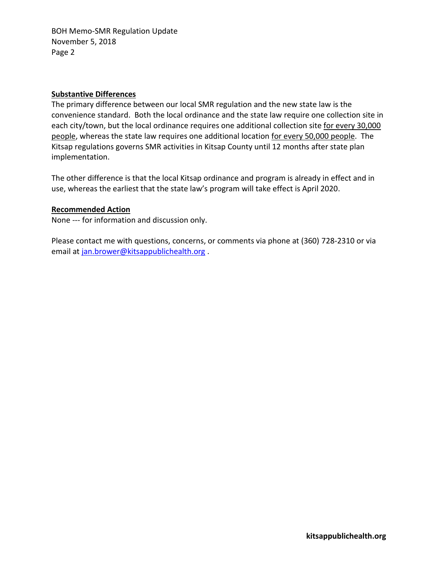BOH Memo-SMR Regulation Update November 5, 2018 Page 2

#### **Substantive Differences**

The primary difference between our local SMR regulation and the new state law is the convenience standard. Both the local ordinance and the state law require one collection site in each city/town, but the local ordinance requires one additional collection site for every 30,000 people, whereas the state law requires one additional location for every 50,000 people. The Kitsap regulations governs SMR activities in Kitsap County until 12 months after state plan implementation.

The other difference is that the local Kitsap ordinance and program is already in effect and in use, whereas the earliest that the state law's program will take effect is April 2020.

#### **Recommended Action**

None --- for information and discussion only.

Please contact me with questions, concerns, or comments via phone at (360) 728-2310 or via email at [jan.brower@kitsappublichealth.org](mailto:jan.brower@kitsappublichealth.org) .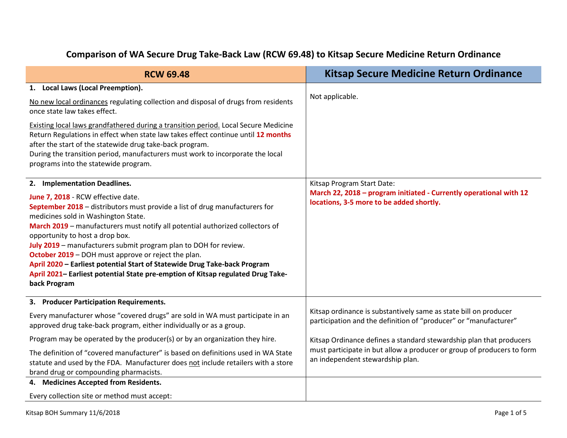#### **RCW 69.48 Kitsap Secure Medicine Return Ordinance 1. Local Laws (Local Preemption).** No new local ordinances regulating collection and disposal of drugs from residents once state law takes effect. Existing local laws grandfathered during a transition period. Local Secure Medicine Return Regulations in effect when state law takes effect continue until **12 months** after the start of the statewide drug take-back program. During the transition period, manufacturers must work to incorporate the local programs into the statewide program. Not applicable. **2. Implementation Deadlines. June 7, 2018** - RCW effective date. **September 2018** – distributors must provide a list of drug manufacturers for medicines sold in Washington State. **March 2019** – manufacturers must notify all potential authorized collectors of opportunity to host a drop box. **July 2019** – manufacturers submit program plan to DOH for review. **October 2019** – DOH must approve or reject the plan. **April 2020 – Earliest potential Start of Statewide Drug Take-back Program April 2021– Earliest potential State pre-emption of Kitsap regulated Drug Takeback Program** Kitsap Program Start Date: **March 22, 2018 – program initiated - Currently operational with 12 locations, 3-5 more to be added shortly. 3. Producer Participation Requirements.** Every manufacturer whose "covered drugs" are sold in WA must participate in an approved drug take-back program, either individually or as a group. Program may be operated by the producer(s) or by an organization they hire. The definition of "covered manufacturer" is based on definitions used in WA State statute and used by the FDA. Manufacturer does not include retailers with a store brand drug or compounding pharmacists. Kitsap ordinance is substantively same as state bill on producer participation and the definition of "producer" or "manufacturer" Kitsap Ordinance defines a standard stewardship plan that producers must participate in but allow a producer or group of producers to form an independent stewardship plan. **4. Medicines Accepted from Residents.** Every collection site or method must accept: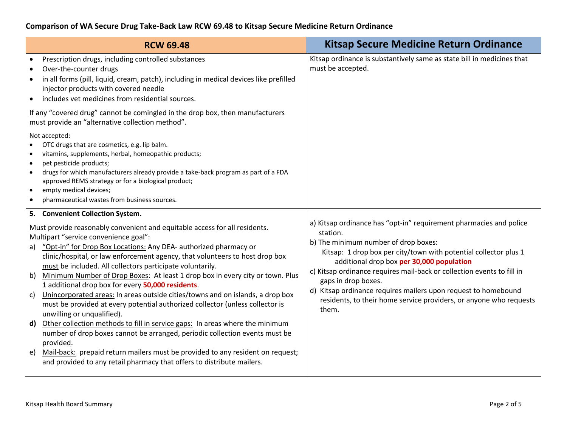| <b>RCW 69.48</b>                                                                                                                                                                                                                                                                                                                                                                                                                                                                                                                                                                                                                                                                                                                                                                                                                                                                                                                                                                                                                                      | <b>Kitsap Secure Medicine Return Ordinance</b>                                                                                                                                                                                                                                                                                                                                                                                                                                            |
|-------------------------------------------------------------------------------------------------------------------------------------------------------------------------------------------------------------------------------------------------------------------------------------------------------------------------------------------------------------------------------------------------------------------------------------------------------------------------------------------------------------------------------------------------------------------------------------------------------------------------------------------------------------------------------------------------------------------------------------------------------------------------------------------------------------------------------------------------------------------------------------------------------------------------------------------------------------------------------------------------------------------------------------------------------|-------------------------------------------------------------------------------------------------------------------------------------------------------------------------------------------------------------------------------------------------------------------------------------------------------------------------------------------------------------------------------------------------------------------------------------------------------------------------------------------|
| Prescription drugs, including controlled substances<br>Over-the-counter drugs<br>in all forms (pill, liquid, cream, patch), including in medical devices like prefilled<br>$\bullet$<br>injector products with covered needle<br>includes vet medicines from residential sources.<br>$\bullet$                                                                                                                                                                                                                                                                                                                                                                                                                                                                                                                                                                                                                                                                                                                                                        | Kitsap ordinance is substantively same as state bill in medicines that<br>must be accepted.                                                                                                                                                                                                                                                                                                                                                                                               |
| If any "covered drug" cannot be comingled in the drop box, then manufacturers<br>must provide an "alternative collection method".                                                                                                                                                                                                                                                                                                                                                                                                                                                                                                                                                                                                                                                                                                                                                                                                                                                                                                                     |                                                                                                                                                                                                                                                                                                                                                                                                                                                                                           |
| Not accepted:<br>OTC drugs that are cosmetics, e.g. lip balm.<br>$\bullet$<br>vitamins, supplements, herbal, homeopathic products;<br>$\bullet$<br>pet pesticide products;<br>$\bullet$<br>drugs for which manufacturers already provide a take-back program as part of a FDA<br>$\bullet$<br>approved REMS strategy or for a biological product;<br>empty medical devices;<br>$\bullet$<br>pharmaceutical wastes from business sources.<br>$\bullet$                                                                                                                                                                                                                                                                                                                                                                                                                                                                                                                                                                                                 |                                                                                                                                                                                                                                                                                                                                                                                                                                                                                           |
| 5. Convenient Collection System.                                                                                                                                                                                                                                                                                                                                                                                                                                                                                                                                                                                                                                                                                                                                                                                                                                                                                                                                                                                                                      |                                                                                                                                                                                                                                                                                                                                                                                                                                                                                           |
| Must provide reasonably convenient and equitable access for all residents.<br>Multipart "service convenience goal":<br>"Opt-in" for Drop Box Locations: Any DEA- authorized pharmacy or<br>a)<br>clinic/hospital, or law enforcement agency, that volunteers to host drop box<br>must be included. All collectors participate voluntarily.<br>b) Minimum Number of Drop Boxes: At least 1 drop box in every city or town. Plus<br>1 additional drop box for every 50,000 residents.<br>Unincorporated areas: In areas outside cities/towns and on islands, a drop box<br>C)<br>must be provided at every potential authorized collector (unless collector is<br>unwilling or unqualified).<br>Other collection methods to fill in service gaps: In areas where the minimum<br>$\mathsf{d}$<br>number of drop boxes cannot be arranged, periodic collection events must be<br>provided.<br>e) Mail-back: prepaid return mailers must be provided to any resident on request;<br>and provided to any retail pharmacy that offers to distribute mailers. | a) Kitsap ordinance has "opt-in" requirement pharmacies and police<br>station.<br>b) The minimum number of drop boxes:<br>Kitsap: 1 drop box per city/town with potential collector plus 1<br>additional drop box per 30,000 population<br>c) Kitsap ordinance requires mail-back or collection events to fill in<br>gaps in drop boxes.<br>d) Kitsap ordinance requires mailers upon request to homebound<br>residents, to their home service providers, or anyone who requests<br>them. |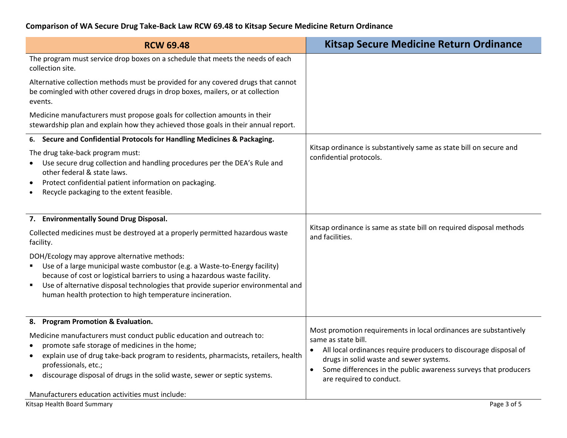| <b>RCW 69.48</b>                                                                                                                                                                                                                                                                                                                                                | <b>Kitsap Secure Medicine Return Ordinance</b>                                                                                                                                                                                                                                                                      |
|-----------------------------------------------------------------------------------------------------------------------------------------------------------------------------------------------------------------------------------------------------------------------------------------------------------------------------------------------------------------|---------------------------------------------------------------------------------------------------------------------------------------------------------------------------------------------------------------------------------------------------------------------------------------------------------------------|
| The program must service drop boxes on a schedule that meets the needs of each<br>collection site.                                                                                                                                                                                                                                                              |                                                                                                                                                                                                                                                                                                                     |
| Alternative collection methods must be provided for any covered drugs that cannot<br>be comingled with other covered drugs in drop boxes, mailers, or at collection<br>events.                                                                                                                                                                                  |                                                                                                                                                                                                                                                                                                                     |
| Medicine manufacturers must propose goals for collection amounts in their<br>stewardship plan and explain how they achieved those goals in their annual report.                                                                                                                                                                                                 |                                                                                                                                                                                                                                                                                                                     |
| 6. Secure and Confidential Protocols for Handling Medicines & Packaging.                                                                                                                                                                                                                                                                                        |                                                                                                                                                                                                                                                                                                                     |
| The drug take-back program must:<br>Use secure drug collection and handling procedures per the DEA's Rule and<br>other federal & state laws.<br>Protect confidential patient information on packaging.<br>Recycle packaging to the extent feasible.                                                                                                             | Kitsap ordinance is substantively same as state bill on secure and<br>confidential protocols.                                                                                                                                                                                                                       |
| 7. Environmentally Sound Drug Disposal.                                                                                                                                                                                                                                                                                                                         |                                                                                                                                                                                                                                                                                                                     |
| Collected medicines must be destroyed at a properly permitted hazardous waste<br>facility.                                                                                                                                                                                                                                                                      | Kitsap ordinance is same as state bill on required disposal methods<br>and facilities.                                                                                                                                                                                                                              |
| DOH/Ecology may approve alternative methods:<br>Use of a large municipal waste combustor (e.g. a Waste-to-Energy facility)<br>because of cost or logistical barriers to using a hazardous waste facility.<br>Use of alternative disposal technologies that provide superior environmental and<br>٠<br>human health protection to high temperature incineration. |                                                                                                                                                                                                                                                                                                                     |
| 8. Program Promotion & Evaluation.                                                                                                                                                                                                                                                                                                                              |                                                                                                                                                                                                                                                                                                                     |
| Medicine manufacturers must conduct public education and outreach to:<br>promote safe storage of medicines in the home;<br>explain use of drug take-back program to residents, pharmacists, retailers, health<br>$\bullet$<br>professionals, etc.;<br>discourage disposal of drugs in the solid waste, sewer or septic systems.                                 | Most promotion requirements in local ordinances are substantively<br>same as state bill.<br>All local ordinances require producers to discourage disposal of<br>drugs in solid waste and sewer systems.<br>Some differences in the public awareness surveys that producers<br>$\bullet$<br>are required to conduct. |
| Manufacturers education activities must include:                                                                                                                                                                                                                                                                                                                |                                                                                                                                                                                                                                                                                                                     |
| Kitsap Health Board Summary                                                                                                                                                                                                                                                                                                                                     | Page 3 of 5                                                                                                                                                                                                                                                                                                         |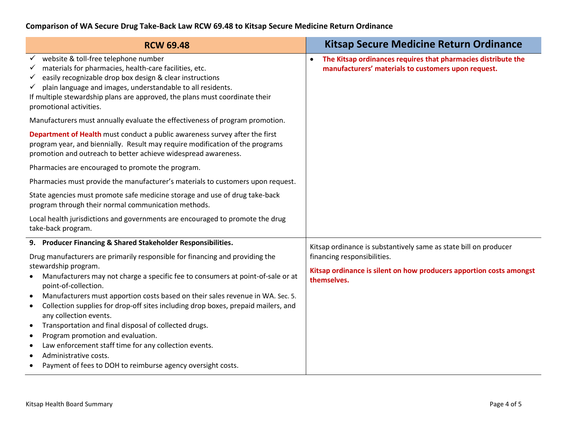| <b>RCW 69.48</b>                                                                                                                                                                                                                                                                                                                                                                         | <b>Kitsap Secure Medicine Return Ordinance</b>                                                                                                                                        |
|------------------------------------------------------------------------------------------------------------------------------------------------------------------------------------------------------------------------------------------------------------------------------------------------------------------------------------------------------------------------------------------|---------------------------------------------------------------------------------------------------------------------------------------------------------------------------------------|
| website & toll-free telephone number<br>$\checkmark$<br>materials for pharmacies, health-care facilities, etc.<br>$\checkmark$<br>easily recognizable drop box design & clear instructions<br>$\checkmark$<br>plain language and images, understandable to all residents.<br>✓<br>If multiple stewardship plans are approved, the plans must coordinate their<br>promotional activities. | The Kitsap ordinances requires that pharmacies distribute the<br>$\bullet$<br>manufacturers' materials to customers upon request.                                                     |
| Manufacturers must annually evaluate the effectiveness of program promotion.                                                                                                                                                                                                                                                                                                             |                                                                                                                                                                                       |
| Department of Health must conduct a public awareness survey after the first<br>program year, and biennially. Result may require modification of the programs<br>promotion and outreach to better achieve widespread awareness.                                                                                                                                                           |                                                                                                                                                                                       |
| Pharmacies are encouraged to promote the program.                                                                                                                                                                                                                                                                                                                                        |                                                                                                                                                                                       |
| Pharmacies must provide the manufacturer's materials to customers upon request.                                                                                                                                                                                                                                                                                                          |                                                                                                                                                                                       |
| State agencies must promote safe medicine storage and use of drug take-back<br>program through their normal communication methods.                                                                                                                                                                                                                                                       |                                                                                                                                                                                       |
| Local health jurisdictions and governments are encouraged to promote the drug<br>take-back program.                                                                                                                                                                                                                                                                                      |                                                                                                                                                                                       |
| 9. Producer Financing & Shared Stakeholder Responsibilities.                                                                                                                                                                                                                                                                                                                             | Kitsap ordinance is substantively same as state bill on producer<br>financing responsibilities.<br>Kitsap ordinance is silent on how producers apportion costs amongst<br>themselves. |
| Drug manufacturers are primarily responsible for financing and providing the                                                                                                                                                                                                                                                                                                             |                                                                                                                                                                                       |
| stewardship program.<br>Manufacturers may not charge a specific fee to consumers at point-of-sale or at<br>$\bullet$<br>point-of-collection.                                                                                                                                                                                                                                             |                                                                                                                                                                                       |
| Manufacturers must apportion costs based on their sales revenue in WA. Sec. 5.<br>$\bullet$<br>Collection supplies for drop-off sites including drop boxes, prepaid mailers, and<br>$\bullet$<br>any collection events.                                                                                                                                                                  |                                                                                                                                                                                       |
| Transportation and final disposal of collected drugs.<br>$\bullet$                                                                                                                                                                                                                                                                                                                       |                                                                                                                                                                                       |
| Program promotion and evaluation.<br>$\bullet$<br>Law enforcement staff time for any collection events.<br>$\bullet$                                                                                                                                                                                                                                                                     |                                                                                                                                                                                       |
| Administrative costs.                                                                                                                                                                                                                                                                                                                                                                    |                                                                                                                                                                                       |
| Payment of fees to DOH to reimburse agency oversight costs.<br>$\bullet$                                                                                                                                                                                                                                                                                                                 |                                                                                                                                                                                       |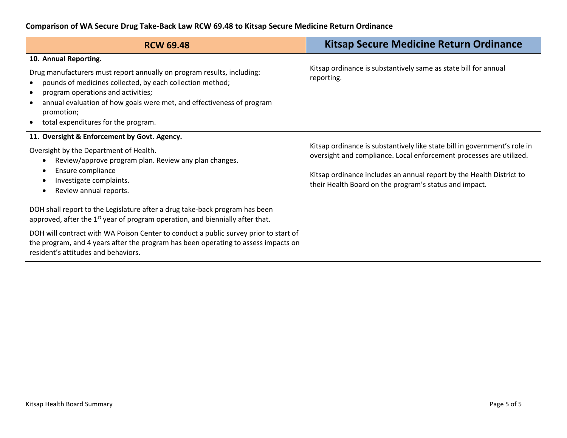| <b>RCW 69.48</b>                                                                                                                                                                                                                                                                                                                                                                    | <b>Kitsap Secure Medicine Return Ordinance</b>                                                                                                                                                                                                                                     |
|-------------------------------------------------------------------------------------------------------------------------------------------------------------------------------------------------------------------------------------------------------------------------------------------------------------------------------------------------------------------------------------|------------------------------------------------------------------------------------------------------------------------------------------------------------------------------------------------------------------------------------------------------------------------------------|
| 10. Annual Reporting.<br>Drug manufacturers must report annually on program results, including:<br>pounds of medicines collected, by each collection method;<br>program operations and activities;<br>annual evaluation of how goals were met, and effectiveness of program<br>promotion;<br>total expenditures for the program.                                                    | Kitsap ordinance is substantively same as state bill for annual<br>reporting.                                                                                                                                                                                                      |
| 11. Oversight & Enforcement by Govt. Agency.<br>Oversight by the Department of Health.<br>Review/approve program plan. Review any plan changes.<br>€<br>Ensure compliance<br>Investigate complaints.<br>Review annual reports.<br>$\bullet$                                                                                                                                         | Kitsap ordinance is substantively like state bill in government's role in<br>oversight and compliance. Local enforcement processes are utilized.<br>Kitsap ordinance includes an annual report by the Health District to<br>their Health Board on the program's status and impact. |
| DOH shall report to the Legislature after a drug take-back program has been<br>approved, after the $1st$ year of program operation, and biennially after that.<br>DOH will contract with WA Poison Center to conduct a public survey prior to start of<br>the program, and 4 years after the program has been operating to assess impacts on<br>resident's attitudes and behaviors. |                                                                                                                                                                                                                                                                                    |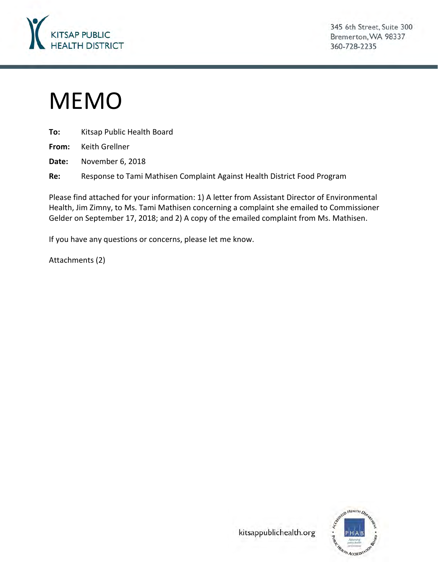

345 6th Street, Suite 300 Bremerton, WA 98337 360-728-2235

# MEMO

| To: | Kitsap Public Health Board                                               |
|-----|--------------------------------------------------------------------------|
|     | <b>From:</b> Keith Grellner                                              |
|     | Date: November 6, 2018                                                   |
| Re: | Response to Tami Mathisen Complaint Against Health District Food Program |

Please find attached for your information: 1) A letter from Assistant Director of Environmental Health, Jim Zimny, to Ms. Tami Mathisen concerning a complaint she emailed to Commissioner Gelder on September 17, 2018; and 2) A copy of the emailed complaint from Ms. Mathisen.

If you have any questions or concerns, please let me know.

Attachments (2)



kitsappublichealth.org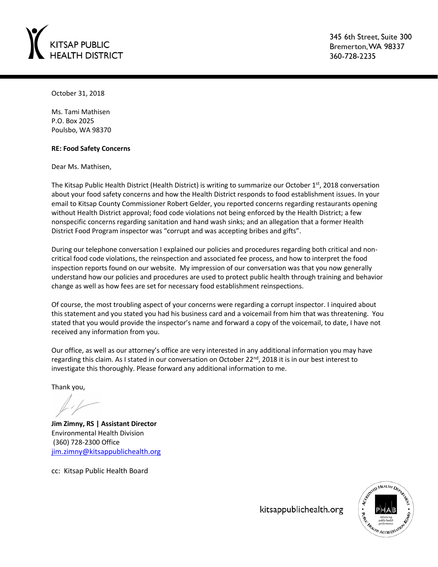

345 6th Street, Suite 300 Bremerton, WA 98337 360-728-2235

October 31, 2018

Ms. Tami Mathisen P.O. Box 2025 Poulsbo, WA 98370

#### **RE: Food Safety Concerns**

Dear Ms. Mathisen,

The Kitsap Public Health District (Health District) is writing to summarize our October 1<sup>st</sup>, 2018 conversation about your food safety concerns and how the Health District responds to food establishment issues. In your email to Kitsap County Commissioner Robert Gelder, you reported concerns regarding restaurants opening without Health District approval; food code violations not being enforced by the Health District; a few nonspecific concerns regarding sanitation and hand wash sinks; and an allegation that a former Health District Food Program inspector was "corrupt and was accepting bribes and gifts".

During our telephone conversation I explained our policies and procedures regarding both critical and noncritical food code violations, the reinspection and associated fee process, and how to interpret the food inspection reports found on our website. My impression of our conversation was that you now generally understand how our policies and procedures are used to protect public health through training and behavior change as well as how fees are set for necessary food establishment reinspections.

Of course, the most troubling aspect of your concerns were regarding a corrupt inspector. I inquired about this statement and you stated you had his business card and a voicemail from him that was threatening. You stated that you would provide the inspector's name and forward a copy of the voicemail, to date, I have not received any information from you.

Our office, as well as our attorney's office are very interested in any additional information you may have regarding this claim. As I stated in our conversation on October 22<sup>nd</sup>, 2018 it is in our best interest to investigate this thoroughly. Please forward any additional information to me.

Thank you,

**Jim Zimny, RS | Assistant Director** Environmental Health Division (360) 728-2300 Office [jim.zimny@kitsappublichealth.org](mailto:jim.zimny@kitsappublichealth.org)

cc: Kitsap Public Health Board



kitsappublichealth.org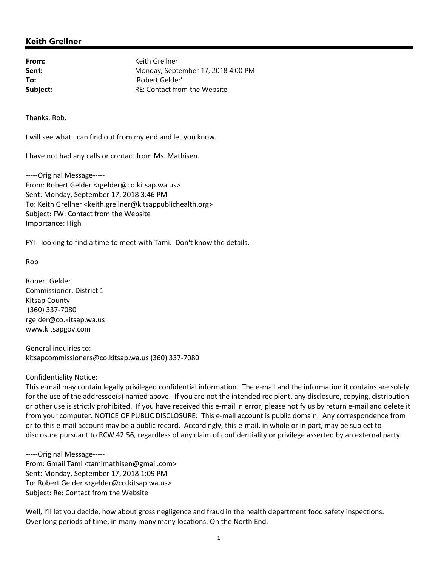# **Keith Grellner**

**From:** Keith Grellner Sent: Monday, September 17, 2018 4:00 PM **To:** 'Robert Gelder' **Subject:** RE: Contact from the Website

Thanks, Rob.

I will see what I can find out from my end and let you know.

I have not had any calls or contact from Ms. Mathisen.

-----Original Message----- From: Robert Gelder <rgelder@co.kitsap.wa.us> Sent: Monday, September 17, 2018 3:46 PM To: Keith Grellner <keith.grellner@kitsappublichealth.org> Subject: FW: Contact from the Website Importance: High

FYI - looking to find a time to meet with Tami. Don't know the details.

Rob

Robert Gelder Commissioner, District 1 Kitsap County (360) 337-7080 rgelder@co.kitsap.wa.us www.kitsapgov.com

General inquiries to: kitsapcommissioners@co.kitsap.wa.us (360) 337-7080

#### Confidentiality Notice:

This e-mail may contain legally privileged confidential information. The e-mail and the information it contains are solely for the use of the addressee(s) named above. If you are not the intended recipient, any disclosure, copying, distribution or other use is strictly prohibited. If you have received this e-mail in error, please notify us by return e-mail and delete it from your computer. NOTICE OF PUBLIC DISCLOSURE: This e-mail account is public domain. Any correspondence from or to this e-mail account may be a public record. Accordingly, this e-mail, in whole or in part, may be subject to disclosure pursuant to RCW 42.56, regardless of any claim of confidentiality or privilege asserted by an external party.

-----Original Message----- From: Gmail Tami <tamimathisen@gmail.com> Sent: Monday, September 17, 2018 1:09 PM To: Robert Gelder <rgelder@co.kitsap.wa.us> Subject: Re: Contact from the Website

Well, I'll let you decide, how about gross negligence and fraud in the health department food safety inspections. Over long periods of time, in many many many locations. On the North End.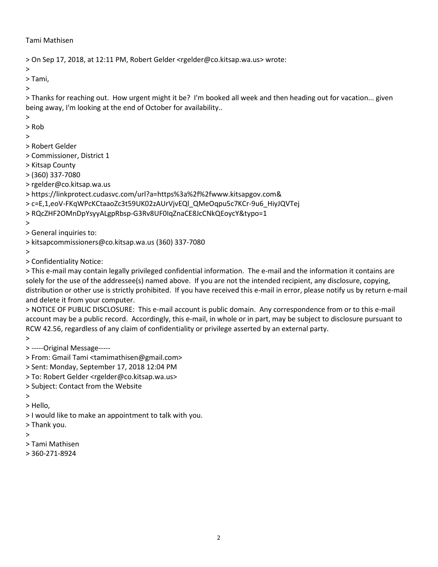#### Tami Mathisen

```
> On Sep 17, 2018, at 12:11 PM, Robert Gelder <rgelder@co.kitsap.wa.us> wrote:
```
>

> Tami,

>

> Thanks for reaching out. How urgent might it be? I'm booked all week and then heading out for vacation... given being away, I'm looking at the end of October for availability..

> > Rob

# >

- 
- > Robert Gelder
- > Commissioner, District 1
- > Kitsap County
- > (360) 337-7080
- > rgelder@co.kitsap.wa.us
- > https://linkprotect.cudasvc.com/url?a=https%3a%2f%2fwww.kitsapgov.com&
- > c=E,1,eoV-FKqWPcKCtaaoZc3t59UK02zAUrVjvEQl\_QMeOqpu5c7KCr-9u6\_HiyJQVTej
- > RQcZHF2OMnDpYsyyALgpRbsp-G3Rv8UF0IqZnaCE8JcCNkQEoycY&typo=1

>

> General inquiries to:

> kitsapcommissioners@co.kitsap.wa.us (360) 337-7080

>

> Confidentiality Notice:

> This e-mail may contain legally privileged confidential information. The e-mail and the information it contains are solely for the use of the addressee(s) named above. If you are not the intended recipient, any disclosure, copying, distribution or other use is strictly prohibited. If you have received this e-mail in error, please notify us by return e-mail and delete it from your computer.

> NOTICE OF PUBLIC DISCLOSURE: This e-mail account is public domain. Any correspondence from or to this e-mail account may be a public record. Accordingly, this e-mail, in whole or in part, may be subject to disclosure pursuant to RCW 42.56, regardless of any claim of confidentiality or privilege asserted by an external party.

>

- > -----Original Message-----
- > From: Gmail Tami <tamimathisen@gmail.com>
- > Sent: Monday, September 17, 2018 12:04 PM
- > To: Robert Gelder <rgelder@co.kitsap.wa.us>
- > Subject: Contact from the Website

>

> Hello,

- > I would like to make an appointment to talk with you.
- > Thank you.

>

- > Tami Mathisen
- > 360-271-8924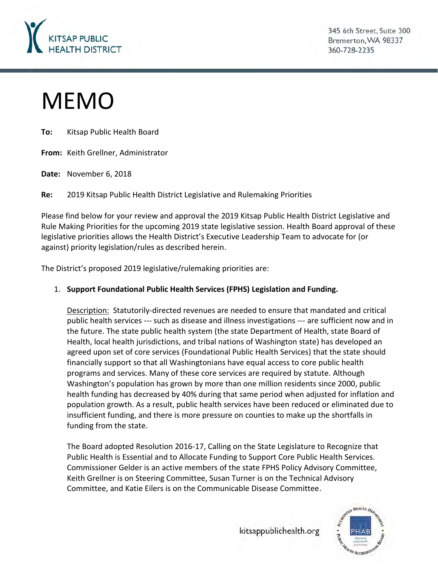

345 6th Street, Suite 300 Bremerton, WA 98337 360-728-2235

# MEMO

**To:** Kitsap Public Health Board

**From:** Keith Grellner, Administrator

**Date:** November 6, 2018

**Re:** 2019 Kitsap Public Health District Legislative and Rulemaking Priorities

Please find below for your review and approval the 2019 Kitsap Public Health District Legislative and Rule Making Priorities for the upcoming 2019 state legislative session. Health Board approval of these legislative priorities allows the Health District's Executive Leadership Team to advocate for (or against) priority legislation/rules as described herein.

The District's proposed 2019 legislative/rulemaking priorities are:

### 1. **Support Foundational Public Health Services (FPHS) Legislation and Funding.**

Description: Statutorily-directed revenues are needed to ensure that mandated and critical public health services --- such as disease and illness investigations --- are sufficient now and in the future. The state public health system (the state Department of Health, state Board of Health, local health jurisdictions, and tribal nations of Washington state) has developed an agreed upon set of core services (Foundational Public Health Services) that the state should financially support so that all Washingtonians have equal access to core public health programs and services. Many of these core services are required by statute. Although Washington's population has grown by more than one million residents since 2000, public health funding has decreased by 40% during that same period when adjusted for inflation and population growth. As a result, public health services have been reduced or eliminated due to insufficient funding, and there is more pressure on counties to make up the shortfalls in funding from the state.

The Board adopted Resolution 2016-17, Calling on the State Legislature to Recognize that Public Health is Essential and to Allocate Funding to Support Core Public Health Services. Commissioner Gelder is an active members of the state FPHS Policy Advisory Committee, Keith Grellner is on Steering Committee, Susan Turner is on the Technical Advisory Committee, and Katie Eilers is on the Communicable Disease Committee.

kitsappublichealth.org

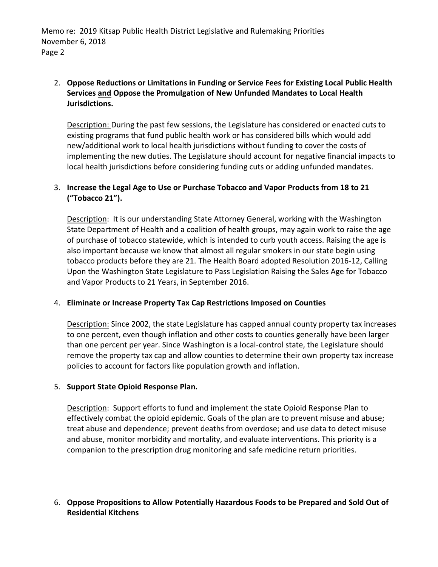Memo re: 2019 Kitsap Public Health District Legislative and Rulemaking Priorities November 6, 2018 Page 2

# 2. **Oppose Reductions or Limitations in Funding or Service Fees for Existing Local Public Health Services and Oppose the Promulgation of New Unfunded Mandates to Local Health Jurisdictions.**

Description: During the past few sessions, the Legislature has considered or enacted cuts to existing programs that fund public health work or has considered bills which would add new/additional work to local health jurisdictions without funding to cover the costs of implementing the new duties. The Legislature should account for negative financial impacts to local health jurisdictions before considering funding cuts or adding unfunded mandates.

# 3. **Increase the Legal Age to Use or Purchase Tobacco and Vapor Products from 18 to 21 ("Tobacco 21").**

Description: It is our understanding State Attorney General, working with the Washington State Department of Health and a coalition of health groups, may again work to raise the age of purchase of tobacco statewide, which is intended to curb youth access. Raising the age is also important because we know that almost all regular smokers in our state begin using tobacco products before they are 21. The Health Board adopted Resolution 2016-12, Calling Upon the Washington State Legislature to Pass Legislation Raising the Sales Age for Tobacco and Vapor Products to 21 Years, in September 2016.

### 4. **Eliminate or Increase Property Tax Cap Restrictions Imposed on Counties**

Description: Since 2002, the state Legislature has capped annual county property tax increases to one percent, even though inflation and other costs to counties generally have been larger than one percent per year. Since Washington is a local-control state, the Legislature should remove the property tax cap and allow counties to determine their own property tax increase policies to account for factors like population growth and inflation.

#### 5. **Support State Opioid Response Plan.**

Description: Support efforts to fund and implement the state Opioid Response Plan to effectively combat the opioid epidemic. Goals of the plan are to prevent misuse and abuse; treat abuse and dependence; prevent deaths from overdose; and use data to detect misuse and abuse, monitor morbidity and mortality, and evaluate interventions. This priority is a companion to the prescription drug monitoring and safe medicine return priorities.

### 6. **Oppose Propositions to Allow Potentially Hazardous Foods to be Prepared and Sold Out of Residential Kitchens**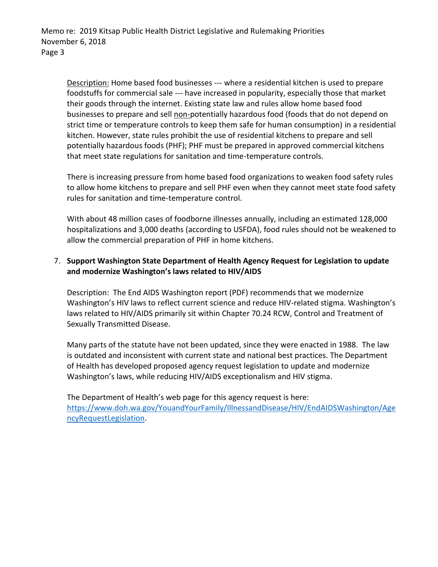Description: Home based food businesses --- where a residential kitchen is used to prepare foodstuffs for commercial sale --- have increased in popularity, especially those that market their goods through the internet. Existing state law and rules allow home based food businesses to prepare and sell non-potentially hazardous food (foods that do not depend on strict time or temperature controls to keep them safe for human consumption) in a residential kitchen. However, state rules prohibit the use of residential kitchens to prepare and sell potentially hazardous foods (PHF); PHF must be prepared in approved commercial kitchens that meet state regulations for sanitation and time-temperature controls.

There is increasing pressure from home based food organizations to weaken food safety rules to allow home kitchens to prepare and sell PHF even when they cannot meet state food safety rules for sanitation and time-temperature control.

With about 48 million cases of foodborne illnesses annually, including an estimated 128,000 hospitalizations and 3,000 deaths (according to USFDA), food rules should not be weakened to allow the commercial preparation of PHF in home kitchens.

# 7. **Support Washington State Department of Health Agency Request for Legislation to update and modernize Washington's laws related to HIV/AIDS**

Description: The End AIDS Washington report (PDF) recommends that we modernize Washington's HIV laws to reflect current science and reduce HIV-related stigma. Washington's laws related to HIV/AIDS primarily sit within Chapter 70.24 RCW, Control and Treatment of Sexually Transmitted Disease.

Many parts of the statute have not been updated, since they were enacted in 1988. The law is outdated and inconsistent with current state and national best practices. The Department of Health has developed proposed agency request legislation to update and modernize Washington's laws, while reducing HIV/AIDS exceptionalism and HIV stigma.

The Department of Health's web page for this agency request is here: https://www.doh.wa.gov/YouandYourFamily/IllnessandDisease/HIV/EndAIDSWashington/Age ncyRequestLegislation.